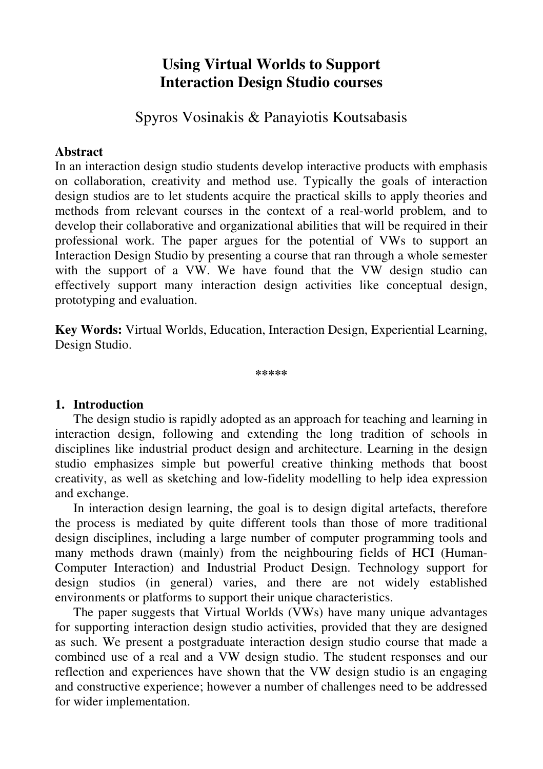# **Using Virtual Worlds to Support Interaction Design Studio courses**

Spyros Vosinakis & Panayiotis Koutsabasis

# **Abstract**

In an interaction design studio students develop interactive products with emphasis on collaboration, creativity and method use. Typically the goals of interaction design studios are to let students acquire the practical skills to apply theories and methods from relevant courses in the context of a real-world problem, and to develop their collaborative and organizational abilities that will be required in their professional work. The paper argues for the potential of VWs to support an Interaction Design Studio by presenting a course that ran through a whole semester with the support of a VW. We have found that the VW design studio can effectively support many interaction design activities like conceptual design, prototyping and evaluation.

**Key Words:** Virtual Worlds, Education, Interaction Design, Experiential Learning, Design Studio.

**\*\*\*\*\*** 

# **1. Introduction**

The design studio is rapidly adopted as an approach for teaching and learning in interaction design, following and extending the long tradition of schools in disciplines like industrial product design and architecture. Learning in the design studio emphasizes simple but powerful creative thinking methods that boost creativity, as well as sketching and low-fidelity modelling to help idea expression and exchange.

In interaction design learning, the goal is to design digital artefacts, therefore the process is mediated by quite different tools than those of more traditional design disciplines, including a large number of computer programming tools and many methods drawn (mainly) from the neighbouring fields of HCI (Human-Computer Interaction) and Industrial Product Design. Technology support for design studios (in general) varies, and there are not widely established environments or platforms to support their unique characteristics.

The paper suggests that Virtual Worlds (VWs) have many unique advantages for supporting interaction design studio activities, provided that they are designed as such. We present a postgraduate interaction design studio course that made a combined use of a real and a VW design studio. The student responses and our reflection and experiences have shown that the VW design studio is an engaging and constructive experience; however a number of challenges need to be addressed for wider implementation.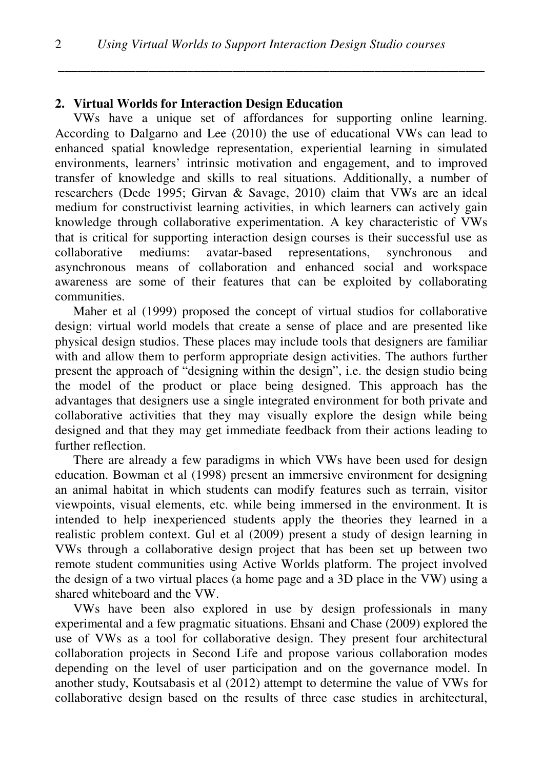*\_\_\_\_\_\_\_\_\_\_\_\_\_\_\_\_\_\_\_\_\_\_\_\_\_\_\_\_\_\_\_\_\_\_\_\_\_\_\_\_\_\_\_\_\_\_\_\_\_\_\_\_\_\_\_\_\_\_\_\_\_\_\_\_\_\_* 

#### **2. Virtual Worlds for Interaction Design Education**

VWs have a unique set of affordances for supporting online learning. According to Dalgarno and Lee (2010) the use of educational VWs can lead to enhanced spatial knowledge representation, experiential learning in simulated environments, learners' intrinsic motivation and engagement, and to improved transfer of knowledge and skills to real situations. Additionally, a number of researchers (Dede 1995; Girvan & Savage, 2010) claim that VWs are an ideal medium for constructivist learning activities, in which learners can actively gain knowledge through collaborative experimentation. A key characteristic of VWs that is critical for supporting interaction design courses is their successful use as collaborative mediums: avatar-based representations, synchronous and asynchronous means of collaboration and enhanced social and workspace awareness are some of their features that can be exploited by collaborating communities.

Maher et al (1999) proposed the concept of virtual studios for collaborative design: virtual world models that create a sense of place and are presented like physical design studios. These places may include tools that designers are familiar with and allow them to perform appropriate design activities. The authors further present the approach of "designing within the design", i.e. the design studio being the model of the product or place being designed. This approach has the advantages that designers use a single integrated environment for both private and collaborative activities that they may visually explore the design while being designed and that they may get immediate feedback from their actions leading to further reflection.

There are already a few paradigms in which VWs have been used for design education. Bowman et al (1998) present an immersive environment for designing an animal habitat in which students can modify features such as terrain, visitor viewpoints, visual elements, etc. while being immersed in the environment. It is intended to help inexperienced students apply the theories they learned in a realistic problem context. Gul et al (2009) present a study of design learning in VWs through a collaborative design project that has been set up between two remote student communities using Active Worlds platform. The project involved the design of a two virtual places (a home page and a 3D place in the VW) using a shared whiteboard and the VW.

VWs have been also explored in use by design professionals in many experimental and a few pragmatic situations. Ehsani and Chase (2009) explored the use of VWs as a tool for collaborative design. They present four architectural collaboration projects in Second Life and propose various collaboration modes depending on the level of user participation and on the governance model. In another study, Koutsabasis et al (2012) attempt to determine the value of VWs for collaborative design based on the results of three case studies in architectural,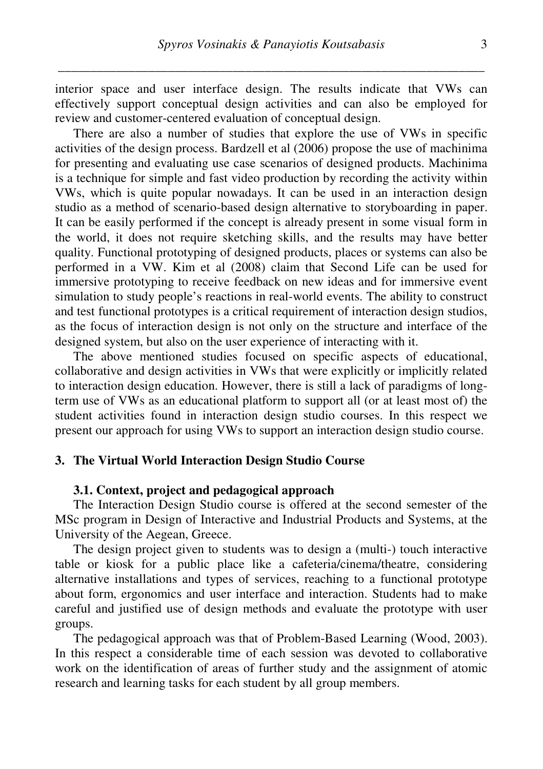interior space and user interface design. The results indicate that VWs can effectively support conceptual design activities and can also be employed for review and customer-centered evaluation of conceptual design.

There are also a number of studies that explore the use of VWs in specific activities of the design process. Bardzell et al (2006) propose the use of machinima for presenting and evaluating use case scenarios of designed products. Machinima is a technique for simple and fast video production by recording the activity within VWs, which is quite popular nowadays. It can be used in an interaction design studio as a method of scenario-based design alternative to storyboarding in paper. It can be easily performed if the concept is already present in some visual form in the world, it does not require sketching skills, and the results may have better quality. Functional prototyping of designed products, places or systems can also be performed in a VW. Kim et al (2008) claim that Second Life can be used for immersive prototyping to receive feedback on new ideas and for immersive event simulation to study people's reactions in real-world events. The ability to construct and test functional prototypes is a critical requirement of interaction design studios, as the focus of interaction design is not only on the structure and interface of the designed system, but also on the user experience of interacting with it.

The above mentioned studies focused on specific aspects of educational, collaborative and design activities in VWs that were explicitly or implicitly related to interaction design education. However, there is still a lack of paradigms of longterm use of VWs as an educational platform to support all (or at least most of) the student activities found in interaction design studio courses. In this respect we present our approach for using VWs to support an interaction design studio course.

#### **3. The Virtual World Interaction Design Studio Course**

#### **3.1. Context, project and pedagogical approach**

The Interaction Design Studio course is offered at the second semester of the MSc program in Design of Interactive and Industrial Products and Systems, at the University of the Aegean, Greece.

The design project given to students was to design a (multi-) touch interactive table or kiosk for a public place like a cafeteria/cinema/theatre, considering alternative installations and types of services, reaching to a functional prototype about form, ergonomics and user interface and interaction. Students had to make careful and justified use of design methods and evaluate the prototype with user groups.

The pedagogical approach was that of Problem-Based Learning (Wood, 2003). In this respect a considerable time of each session was devoted to collaborative work on the identification of areas of further study and the assignment of atomic research and learning tasks for each student by all group members.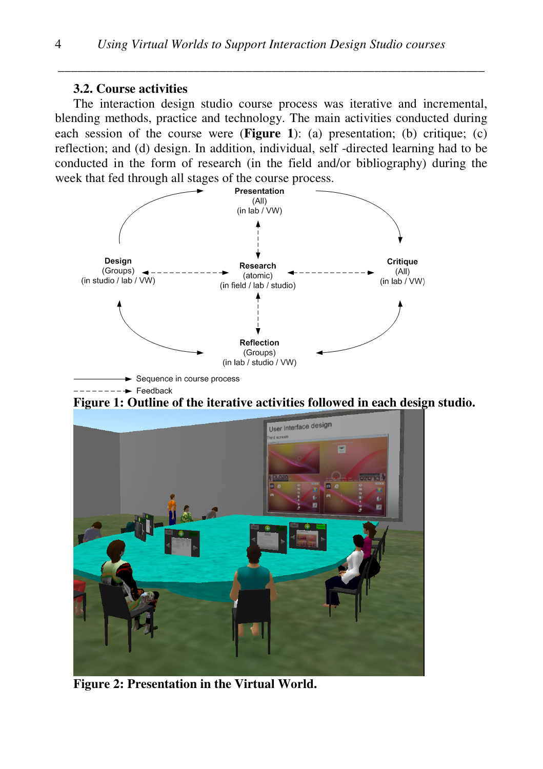## **3.2. Course activities**

The interaction design studio course process was iterative and incremental, blending methods, practice and technology. The main activities conducted during each session of the course were (**Figure 1**): (a) presentation; (b) critique; (c) reflection; and (d) design. In addition, individual, self -directed learning had to be conducted in the form of research (in the field and/or bibliography) during the week that fed through all stages of the course process.

*\_\_\_\_\_\_\_\_\_\_\_\_\_\_\_\_\_\_\_\_\_\_\_\_\_\_\_\_\_\_\_\_\_\_\_\_\_\_\_\_\_\_\_\_\_\_\_\_\_\_\_\_\_\_\_\_\_\_\_\_\_\_\_\_\_\_* 







**Figure 2: Presentation in the Virtual World.**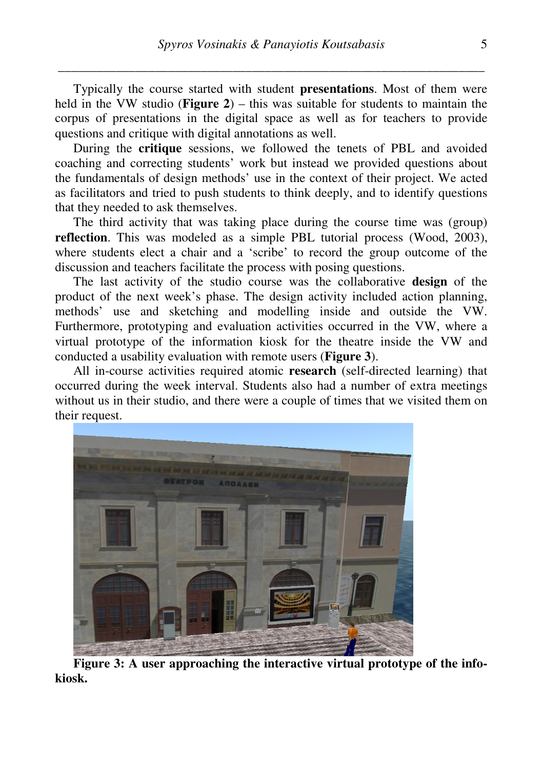Typically the course started with student **presentations**. Most of them were held in the VW studio (**Figure 2**) – this was suitable for students to maintain the corpus of presentations in the digital space as well as for teachers to provide questions and critique with digital annotations as well.

During the **critique** sessions, we followed the tenets of PBL and avoided coaching and correcting students' work but instead we provided questions about the fundamentals of design methods' use in the context of their project. We acted as facilitators and tried to push students to think deeply, and to identify questions that they needed to ask themselves.

The third activity that was taking place during the course time was (group) **reflection**. This was modeled as a simple PBL tutorial process (Wood, 2003), where students elect a chair and a 'scribe' to record the group outcome of the discussion and teachers facilitate the process with posing questions.

The last activity of the studio course was the collaborative **design** of the product of the next week's phase. The design activity included action planning, methods' use and sketching and modelling inside and outside the VW. Furthermore, prototyping and evaluation activities occurred in the VW, where a virtual prototype of the information kiosk for the theatre inside the VW and conducted a usability evaluation with remote users (**Figure 3**).

All in-course activities required atomic **research** (self-directed learning) that occurred during the week interval. Students also had a number of extra meetings without us in their studio, and there were a couple of times that we visited them on their request.



**Figure 3: A user approaching the interactive virtual prototype of the infokiosk.**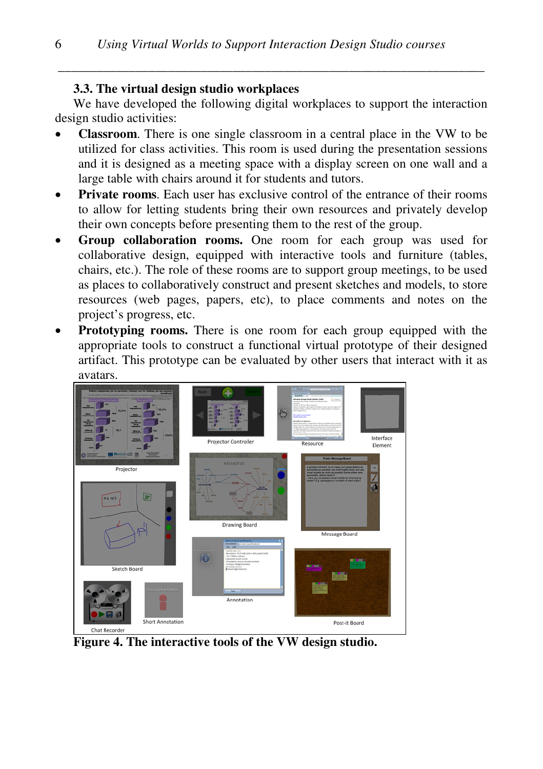# **3.3. The virtual design studio workplaces**

We have developed the following digital workplaces to support the interaction design studio activities:

*\_\_\_\_\_\_\_\_\_\_\_\_\_\_\_\_\_\_\_\_\_\_\_\_\_\_\_\_\_\_\_\_\_\_\_\_\_\_\_\_\_\_\_\_\_\_\_\_\_\_\_\_\_\_\_\_\_\_\_\_\_\_\_\_\_\_* 

- **Classroom**. There is one single classroom in a central place in the VW to be utilized for class activities. This room is used during the presentation sessions and it is designed as a meeting space with a display screen on one wall and a large table with chairs around it for students and tutors.
- **Private rooms.** Each user has exclusive control of the entrance of their rooms to allow for letting students bring their own resources and privately develop their own concepts before presenting them to the rest of the group.
- **Group collaboration rooms.** One room for each group was used for collaborative design, equipped with interactive tools and furniture (tables, chairs, etc.). The role of these rooms are to support group meetings, to be used as places to collaboratively construct and present sketches and models, to store resources (web pages, papers, etc), to place comments and notes on the project's progress, etc.
- **Prototyping rooms.** There is one room for each group equipped with the appropriate tools to construct a functional virtual prototype of their designed artifact. This prototype can be evaluated by other users that interact with it as avatars.



**Figure 4. The interactive tools of the VW design studio.**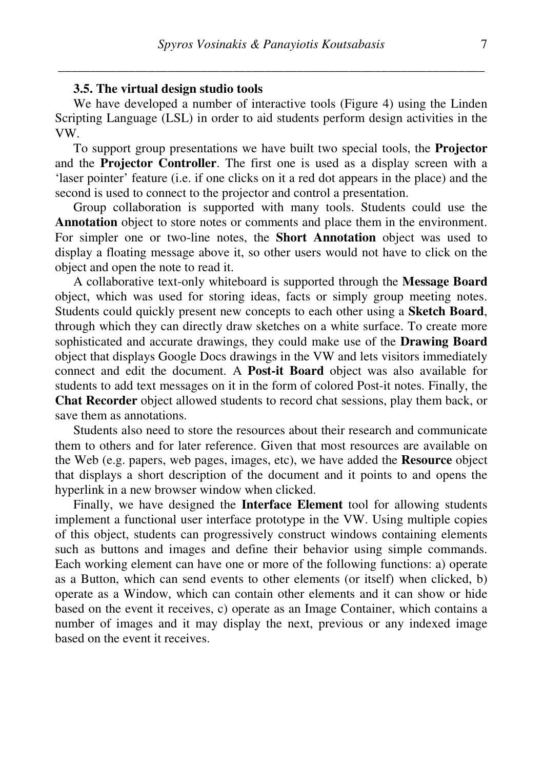#### **3.5. The virtual design studio tools**

We have developed a number of interactive tools (Figure 4) using the Linden Scripting Language (LSL) in order to aid students perform design activities in the VW.

To support group presentations we have built two special tools, the **Projector** and the **Projector Controller**. The first one is used as a display screen with a 'laser pointer' feature (i.e. if one clicks on it a red dot appears in the place) and the second is used to connect to the projector and control a presentation.

Group collaboration is supported with many tools. Students could use the **Annotation** object to store notes or comments and place them in the environment. For simpler one or two-line notes, the **Short Annotation** object was used to display a floating message above it, so other users would not have to click on the object and open the note to read it.

A collaborative text-only whiteboard is supported through the **Message Board**  object, which was used for storing ideas, facts or simply group meeting notes. Students could quickly present new concepts to each other using a **Sketch Board**, through which they can directly draw sketches on a white surface. To create more sophisticated and accurate drawings, they could make use of the **Drawing Board**  object that displays Google Docs drawings in the VW and lets visitors immediately connect and edit the document. A **Post-it Board** object was also available for students to add text messages on it in the form of colored Post-it notes. Finally, the **Chat Recorder** object allowed students to record chat sessions, play them back, or save them as annotations.

Students also need to store the resources about their research and communicate them to others and for later reference. Given that most resources are available on the Web (e.g. papers, web pages, images, etc), we have added the **Resource** object that displays a short description of the document and it points to and opens the hyperlink in a new browser window when clicked.

Finally, we have designed the **Interface Element** tool for allowing students implement a functional user interface prototype in the VW. Using multiple copies of this object, students can progressively construct windows containing elements such as buttons and images and define their behavior using simple commands. Each working element can have one or more of the following functions: a) operate as a Button, which can send events to other elements (or itself) when clicked, b) operate as a Window, which can contain other elements and it can show or hide based on the event it receives, c) operate as an Image Container, which contains a number of images and it may display the next, previous or any indexed image based on the event it receives.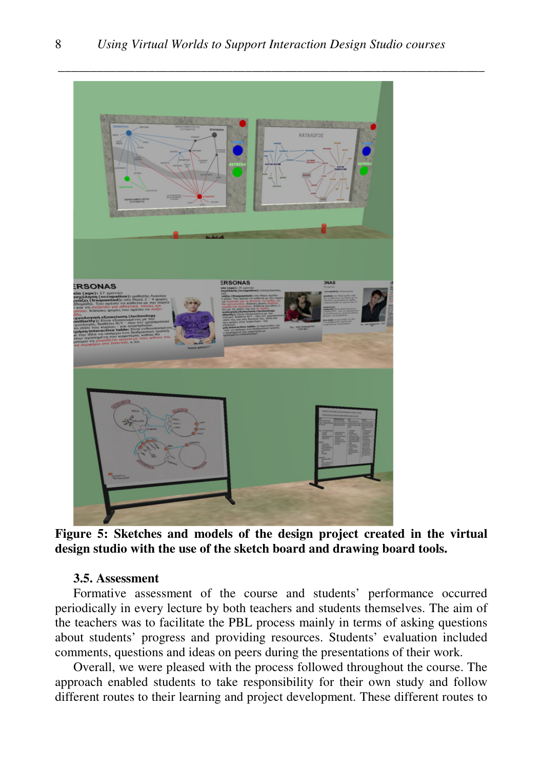*\_\_\_\_\_\_\_\_\_\_\_\_\_\_\_\_\_\_\_\_\_\_\_\_\_\_\_\_\_\_\_\_\_\_\_\_\_\_\_\_\_\_\_\_\_\_\_\_\_\_\_\_\_\_\_\_\_\_\_\_\_\_\_\_\_\_* 



**Figure 5: Sketches and models of the design project created in the virtual design studio with the use of the sketch board and drawing board tools.** 

## **3.5. Assessment**

Formative assessment of the course and students' performance occurred periodically in every lecture by both teachers and students themselves. The aim of the teachers was to facilitate the PBL process mainly in terms of asking questions about students' progress and providing resources. Students' evaluation included comments, questions and ideas on peers during the presentations of their work.

Overall, we were pleased with the process followed throughout the course. The approach enabled students to take responsibility for their own study and follow different routes to their learning and project development. These different routes to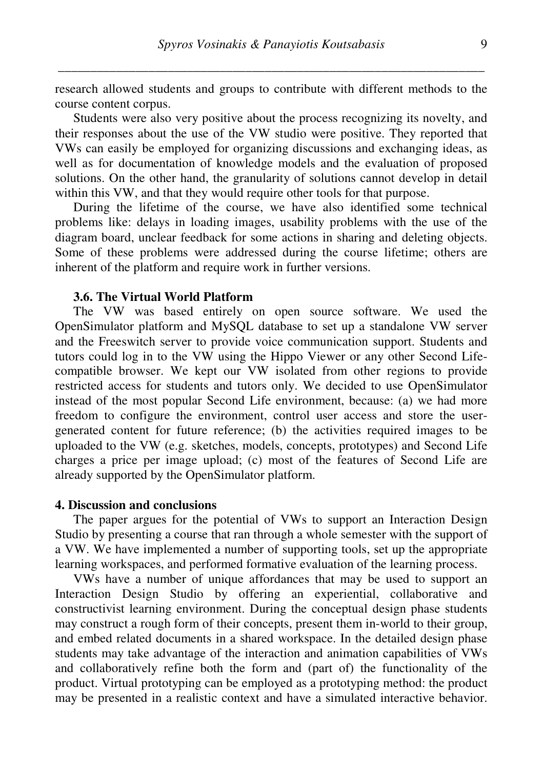research allowed students and groups to contribute with different methods to the course content corpus.

Students were also very positive about the process recognizing its novelty, and their responses about the use of the VW studio were positive. They reported that VWs can easily be employed for organizing discussions and exchanging ideas, as well as for documentation of knowledge models and the evaluation of proposed solutions. On the other hand, the granularity of solutions cannot develop in detail within this VW, and that they would require other tools for that purpose.

During the lifetime of the course, we have also identified some technical problems like: delays in loading images, usability problems with the use of the diagram board, unclear feedback for some actions in sharing and deleting objects. Some of these problems were addressed during the course lifetime; others are inherent of the platform and require work in further versions.

#### **3.6. The Virtual World Platform**

The VW was based entirely on open source software. We used the OpenSimulator platform and MySQL database to set up a standalone VW server and the Freeswitch server to provide voice communication support. Students and tutors could log in to the VW using the Hippo Viewer or any other Second Lifecompatible browser. We kept our VW isolated from other regions to provide restricted access for students and tutors only. We decided to use OpenSimulator instead of the most popular Second Life environment, because: (a) we had more freedom to configure the environment, control user access and store the usergenerated content for future reference; (b) the activities required images to be uploaded to the VW (e.g. sketches, models, concepts, prototypes) and Second Life charges a price per image upload; (c) most of the features of Second Life are already supported by the OpenSimulator platform.

#### **4. Discussion and conclusions**

The paper argues for the potential of VWs to support an Interaction Design Studio by presenting a course that ran through a whole semester with the support of a VW. We have implemented a number of supporting tools, set up the appropriate learning workspaces, and performed formative evaluation of the learning process.

VWs have a number of unique affordances that may be used to support an Interaction Design Studio by offering an experiential, collaborative and constructivist learning environment. During the conceptual design phase students may construct a rough form of their concepts, present them in-world to their group, and embed related documents in a shared workspace. In the detailed design phase students may take advantage of the interaction and animation capabilities of VWs and collaboratively refine both the form and (part of) the functionality of the product. Virtual prototyping can be employed as a prototyping method: the product may be presented in a realistic context and have a simulated interactive behavior.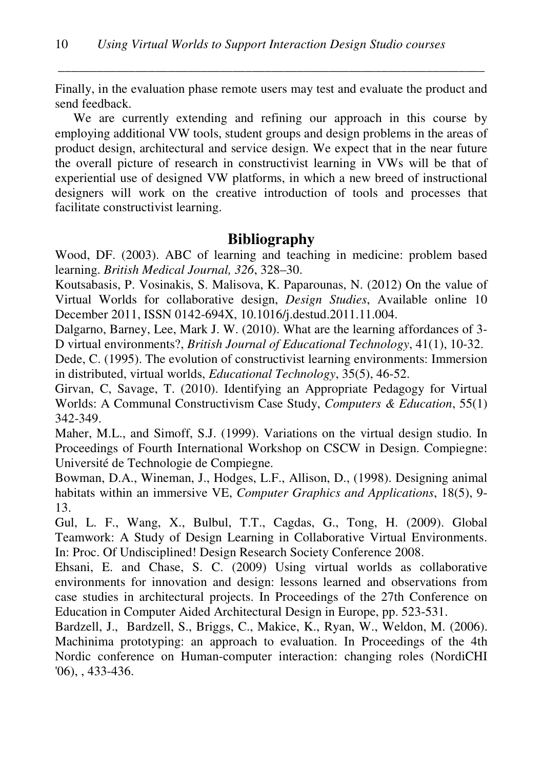Finally, in the evaluation phase remote users may test and evaluate the product and send feedback.

*\_\_\_\_\_\_\_\_\_\_\_\_\_\_\_\_\_\_\_\_\_\_\_\_\_\_\_\_\_\_\_\_\_\_\_\_\_\_\_\_\_\_\_\_\_\_\_\_\_\_\_\_\_\_\_\_\_\_\_\_\_\_\_\_\_\_* 

We are currently extending and refining our approach in this course by employing additional VW tools, student groups and design problems in the areas of product design, architectural and service design. We expect that in the near future the overall picture of research in constructivist learning in VWs will be that of experiential use of designed VW platforms, in which a new breed of instructional designers will work on the creative introduction of tools and processes that facilitate constructivist learning.

# **Bibliography**

Wood, DF. (2003). ABC of learning and teaching in medicine: problem based learning. *British Medical Journal, 326*, 328–30.

Koutsabasis, P. Vosinakis, S. Malisova, K. Paparounas, N. (2012) On the value of Virtual Worlds for collaborative design, *Design Studies*, Available online 10 December 2011, ISSN 0142-694X, 10.1016/j.destud.2011.11.004.

Dalgarno, Barney, Lee, Mark J. W. (2010). What are the learning affordances of 3- D virtual environments?, *British Journal of Educational Technology*, 41(1), 10-32.

Dede, C. (1995). The evolution of constructivist learning environments: Immersion in distributed, virtual worlds, *Educational Technology*, 35(5), 46-52.

Girvan, C, Savage, T. (2010). Identifying an Appropriate Pedagogy for Virtual Worlds: A Communal Constructivism Case Study, *Computers & Education*, 55(1) 342-349.

Maher, M.L., and Simoff, S.J. (1999). Variations on the virtual design studio. In Proceedings of Fourth International Workshop on CSCW in Design. Compiegne: Université de Technologie de Compiegne.

Bowman, D.A., Wineman, J., Hodges, L.F., Allison, D., (1998). Designing animal habitats within an immersive VE, *Computer Graphics and Applications*, 18(5), 9- 13.

Gul, L. F., Wang, X., Bulbul, T.T., Cagdas, G., Tong, H. (2009). Global Teamwork: A Study of Design Learning in Collaborative Virtual Environments. In: Proc. Of Undisciplined! Design Research Society Conference 2008.

Ehsani, E. and Chase, S. C. (2009) Using virtual worlds as collaborative environments for innovation and design: lessons learned and observations from case studies in architectural projects. In Proceedings of the 27th Conference on Education in Computer Aided Architectural Design in Europe, pp. 523-531.

Bardzell, J., Bardzell, S., Briggs, C., Makice, K., Ryan, W., Weldon, M. (2006). Machinima prototyping: an approach to evaluation. In Proceedings of the 4th Nordic conference on Human-computer interaction: changing roles (NordiCHI '06), , 433-436.